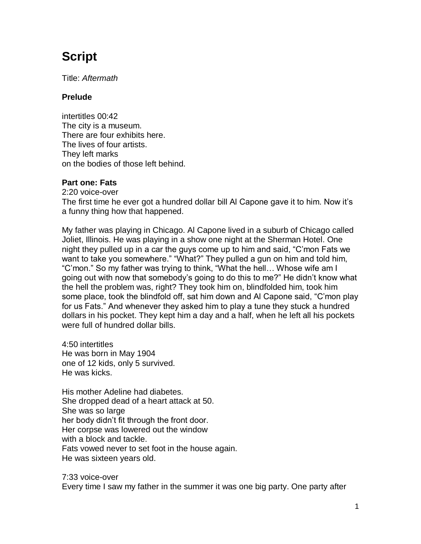# **Script**

Title: *Aftermath*

# **Prelude**

intertitles 00:42 The city is a museum. There are four exhibits here. The lives of four artists. They left marks on the bodies of those left behind.

# **Part one: Fats**

2:20 voice-over The first time he ever got a hundred dollar bill Al Capone gave it to him. Now it's a funny thing how that happened.

My father was playing in Chicago. Al Capone lived in a suburb of Chicago called Joliet, Illinois. He was playing in a show one night at the Sherman Hotel. One night they pulled up in a car the guys come up to him and said, "C'mon Fats we want to take you somewhere." "What?" They pulled a gun on him and told him, "C'mon." So my father was trying to think, "What the hell… Whose wife am I going out with now that somebody's going to do this to me?" He didn't know what the hell the problem was, right? They took him on, blindfolded him, took him some place, took the blindfold off, sat him down and Al Capone said, "C'mon play for us Fats." And whenever they asked him to play a tune they stuck a hundred dollars in his pocket. They kept him a day and a half, when he left all his pockets were full of hundred dollar bills.

4:50 intertitles He was born in May 1904 one of 12 kids, only 5 survived. He was kicks.

His mother Adeline had diabetes. She dropped dead of a heart attack at 50. She was so large her body didn't fit through the front door. Her corpse was lowered out the window with a block and tackle. Fats vowed never to set foot in the house again. He was sixteen years old.

7:33 voice-over Every time I saw my father in the summer it was one big party. One party after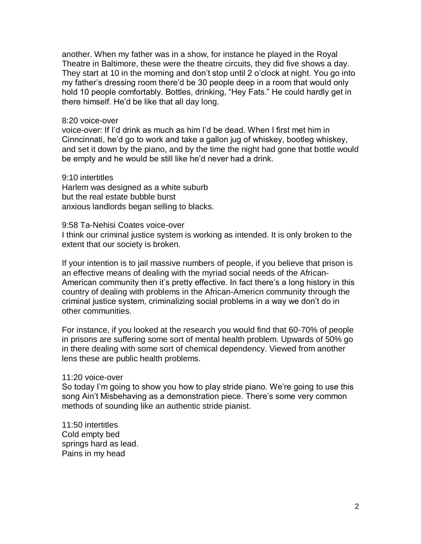another. When my father was in a show, for instance he played in the Royal Theatre in Baltimore, these were the theatre circuits, they did five shows a day. They start at 10 in the morning and don't stop until 2 o'clock at night. You go into my father's dressing room there'd be 30 people deep in a room that would only hold 10 people comfortably. Bottles, drinking, "Hey Fats." He could hardly get in there himself. He'd be like that all day long.

#### 8:20 voice-over

voice-over: If I'd drink as much as him I'd be dead. When I first met him in Cinncinnati, he'd go to work and take a gallon jug of whiskey, bootleg whiskey, and set it down by the piano, and by the time the night had gone that bottle would be empty and he would be still like he'd never had a drink.

#### 9:10 intertitles

Harlem was designed as a white suburb but the real estate bubble burst anxious landlords began selling to blacks.

9:58 Ta-Nehisi Coates voice-over I think our criminal justice system is working as intended. It is only broken to the extent that our society is broken.

If your intention is to jail massive numbers of people, if you believe that prison is an effective means of dealing with the myriad social needs of the African-American community then it's pretty effective. In fact there's a long history in this country of dealing with problems in the African-Americn community through the criminal justice system, criminalizing social problems in a way we don't do in other communities.

For instance, if you looked at the research you would find that 60-70% of people in prisons are suffering some sort of mental health problem. Upwards of 50% go in there dealing with some sort of chemical dependency. Viewed from another lens these are public health problems.

#### 11:20 voice-over

So today I'm going to show you how to play stride piano. We're going to use this song Ain't Misbehaving as a demonstration piece. There's some very common methods of sounding like an authentic stride pianist.

11:50 intertitles Cold empty bed springs hard as lead. Pains in my head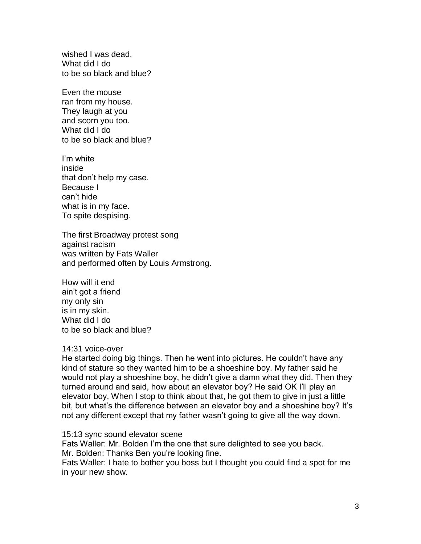wished I was dead. What did I do to be so black and blue?

Even the mouse ran from my house. They laugh at you and scorn you too. What did I do to be so black and blue?

I'm white inside that don't help my case. Because I can't hide what is in my face. To spite despising.

The first Broadway protest song against racism was written by Fats Waller and performed often by Louis Armstrong.

How will it end ain't got a friend my only sin is in my skin. What did I do to be so black and blue?

#### 14:31 voice-over

He started doing big things. Then he went into pictures. He couldn't have any kind of stature so they wanted him to be a shoeshine boy. My father said he would not play a shoeshine boy, he didn't give a damn what they did. Then they turned around and said, how about an elevator boy? He said OK I'll play an elevator boy. When I stop to think about that, he got them to give in just a little bit, but what's the difference between an elevator boy and a shoeshine boy? It's not any different except that my father wasn't going to give all the way down.

15:13 sync sound elevator scene

Fats Waller: Mr. Bolden I'm the one that sure delighted to see you back. Mr. Bolden: Thanks Ben you're looking fine.

Fats Waller: I hate to bother you boss but I thought you could find a spot for me in your new show.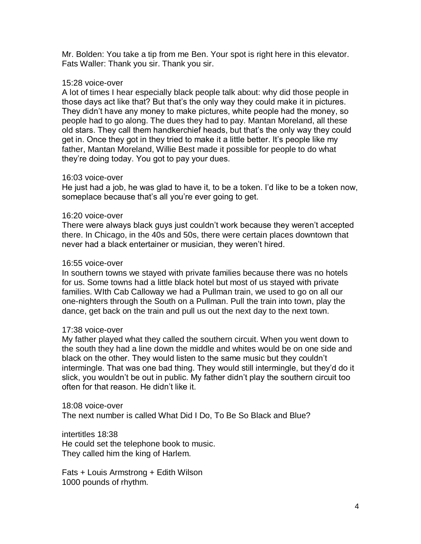Mr. Bolden: You take a tip from me Ben. Your spot is right here in this elevator. Fats Waller: Thank you sir. Thank you sir.

#### 15:28 voice-over

A lot of times I hear especially black people talk about: why did those people in those days act like that? But that's the only way they could make it in pictures. They didn't have any money to make pictures, white people had the money, so people had to go along. The dues they had to pay. Mantan Moreland, all these old stars. They call them handkerchief heads, but that's the only way they could get in. Once they got in they tried to make it a little better. It's people like my father, Mantan Moreland, Willie Best made it possible for people to do what they're doing today. You got to pay your dues.

### 16:03 voice-over

He just had a job, he was glad to have it, to be a token. I'd like to be a token now, someplace because that's all you're ever going to get.

## 16:20 voice-over

There were always black guys just couldn't work because they weren't accepted there. In Chicago, in the 40s and 50s, there were certain places downtown that never had a black entertainer or musician, they weren't hired.

### 16:55 voice-over

In southern towns we stayed with private families because there was no hotels for us. Some towns had a little black hotel but most of us stayed with private families. WIth Cab Calloway we had a Pullman train, we used to go on all our one-nighters through the South on a Pullman. Pull the train into town, play the dance, get back on the train and pull us out the next day to the next town.

## 17:38 voice-over

My father played what they called the southern circuit. When you went down to the south they had a line down the middle and whites would be on one side and black on the other. They would listen to the same music but they couldn't intermingle. That was one bad thing. They would still intermingle, but they'd do it slick, you wouldn't be out in public. My father didn't play the southern circuit too often for that reason. He didn't like it.

### 18:08 voice-over The next number is called What Did I Do, To Be So Black and Blue?

intertitles 18:38 He could set the telephone book to music. They called him the king of Harlem.

Fats + Louis Armstrong + Edith Wilson 1000 pounds of rhythm.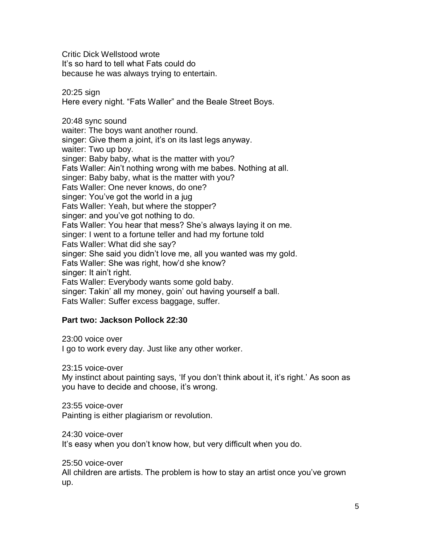Critic Dick Wellstood wrote It's so hard to tell what Fats could do because he was always trying to entertain.

20:25 sign

Here every night. "Fats Waller" and the Beale Street Boys.

20:48 sync sound

waiter: The boys want another round.

singer: Give them a joint, it's on its last legs anyway.

waiter: Two up boy.

singer: Baby baby, what is the matter with you?

Fats Waller: Ain't nothing wrong with me babes. Nothing at all.

singer: Baby baby, what is the matter with you?

Fats Waller: One never knows, do one?

singer: You've got the world in a jug

Fats Waller: Yeah, but where the stopper?

singer: and you've got nothing to do.

Fats Waller: You hear that mess? She's always laying it on me.

singer: I went to a fortune teller and had my fortune told

Fats Waller: What did she say?

singer: She said you didn't love me, all you wanted was my gold.

Fats Waller: She was right, how'd she know?

singer: It ain't right.

Fats Waller: Everybody wants some gold baby.

singer: Takin' all my money, goin' out having yourself a ball. Fats Waller: Suffer excess baggage, suffer.

# **Part two: Jackson Pollock 22:30**

23:00 voice over I go to work every day. Just like any other worker.

23:15 voice-over

My instinct about painting says, 'If you don't think about it, it's right.' As soon as you have to decide and choose, it's wrong.

23:55 voice-over Painting is either plagiarism or revolution.

24:30 voice-over

It's easy when you don't know how, but very difficult when you do.

25:50 voice-over

All children are artists. The problem is how to stay an artist once you've grown up.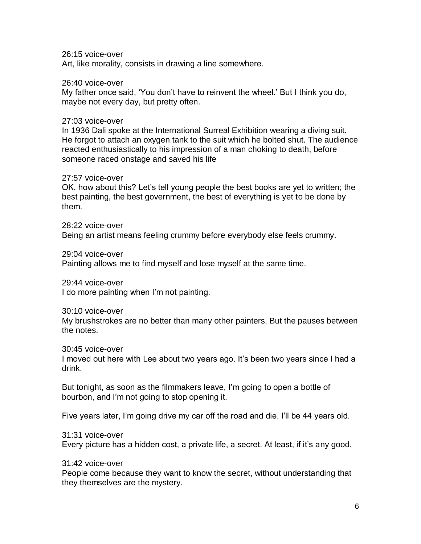26:15 voice-over

Art, like morality, consists in drawing a line somewhere.

26:40 voice-over

My father once said, 'You don't have to reinvent the wheel.' But I think you do, maybe not every day, but pretty often.

### 27:03 voice-over

In 1936 Dali spoke at the International Surreal Exhibition wearing a diving suit. He forgot to attach an oxygen tank to the suit which he bolted shut. The audience reacted enthusiastically to his impression of a man choking to death, before someone raced onstage and saved his life

### 27:57 voice-over

OK, how about this? Let's tell young people the best books are yet to written; the best painting, the best government, the best of everything is yet to be done by them.

28:22 voice-over Being an artist means feeling crummy before everybody else feels crummy.

29:04 voice-over

Painting allows me to find myself and lose myself at the same time.

29:44 voice-over

I do more painting when I'm not painting.

30:10 voice-over

My brushstrokes are no better than many other painters, But the pauses between the notes.

30:45 voice-over

I moved out here with Lee about two years ago. It's been two years since I had a drink.

But tonight, as soon as the filmmakers leave, I'm going to open a bottle of bourbon, and I'm not going to stop opening it.

Five years later, I'm going drive my car off the road and die. I'll be 44 years old.

31:31 voice-over

Every picture has a hidden cost, a private life, a secret. At least, if it's any good.

31:42 voice-over

People come because they want to know the secret, without understanding that they themselves are the mystery.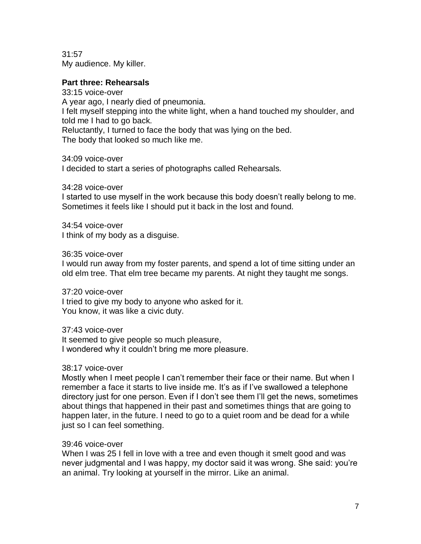31:57 My audience. My killer.

### **Part three: Rehearsals**

33:15 voice-over A year ago, I nearly died of pneumonia. I felt myself stepping into the white light, when a hand touched my shoulder, and told me I had to go back. Reluctantly, I turned to face the body that was lying on the bed. The body that looked so much like me.

34:09 voice-over I decided to start a series of photographs called Rehearsals.

34:28 voice-over

I started to use myself in the work because this body doesn't really belong to me. Sometimes it feels like I should put it back in the lost and found.

34:54 voice-over I think of my body as a disguise.

36:35 voice-over

I would run away from my foster parents, and spend a lot of time sitting under an old elm tree. That elm tree became my parents. At night they taught me songs.

37:20 voice-over I tried to give my body to anyone who asked for it.

You know, it was like a civic duty.

37:43 voice-over It seemed to give people so much pleasure, I wondered why it couldn't bring me more pleasure.

## 38:17 voice-over

Mostly when I meet people I can't remember their face or their name. But when I remember a face it starts to live inside me. It's as if I've swallowed a telephone directory just for one person. Even if I don't see them I'll get the news, sometimes about things that happened in their past and sometimes things that are going to happen later, in the future. I need to go to a quiet room and be dead for a while just so I can feel something.

#### 39:46 voice-over

When I was 25 I fell in love with a tree and even though it smelt good and was never judgmental and I was happy, my doctor said it was wrong. She said: you're an animal. Try looking at yourself in the mirror. Like an animal.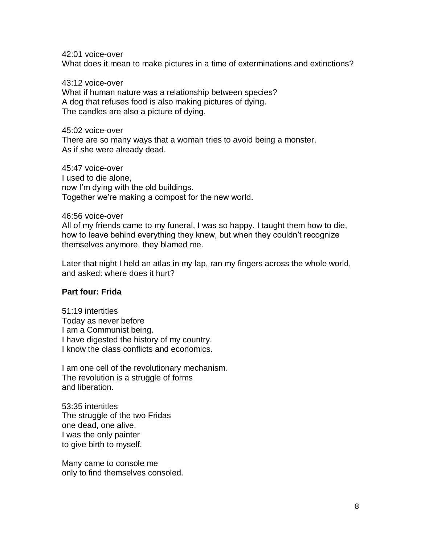42:01 voice-over

What does it mean to make pictures in a time of exterminations and extinctions?

43:12 voice-over What if human nature was a relationship between species? A dog that refuses food is also making pictures of dying. The candles are also a picture of dying.

45:02 voice-over There are so many ways that a woman tries to avoid being a monster. As if she were already dead.

45:47 voice-over I used to die alone, now I'm dying with the old buildings. Together we're making a compost for the new world.

#### 46:56 voice-over

All of my friends came to my funeral, I was so happy. I taught them how to die, how to leave behind everything they knew, but when they couldn't recognize themselves anymore, they blamed me.

Later that night I held an atlas in my lap, ran my fingers across the whole world, and asked: where does it hurt?

### **Part four: Frida**

51:19 intertitles Today as never before I am a Communist being. I have digested the history of my country. I know the class conflicts and economics.

I am one cell of the revolutionary mechanism. The revolution is a struggle of forms and liberation.

53:35 intertitles The struggle of the two Fridas one dead, one alive. I was the only painter to give birth to myself.

Many came to console me only to find themselves consoled.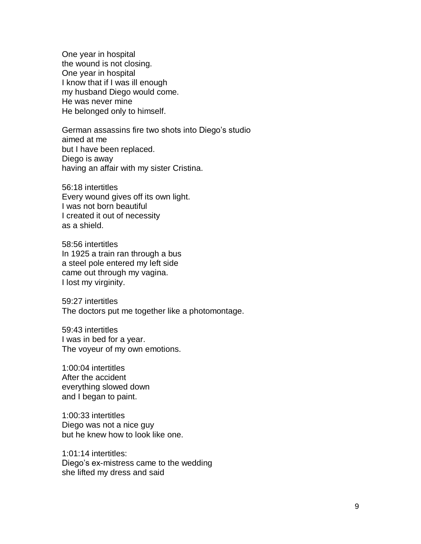One year in hospital the wound is not closing. One year in hospital I know that if I was ill enough my husband Diego would come. He was never mine He belonged only to himself.

German assassins fire two shots into Diego's studio aimed at me but I have been replaced. Diego is away having an affair with my sister Cristina.

56:18 intertitles Every wound gives off its own light. I was not born beautiful I created it out of necessity as a shield.

58:56 intertitles In 1925 a train ran through a bus a steel pole entered my left side came out through my vagina. I lost my virginity.

59:27 intertitles The doctors put me together like a photomontage.

59:43 intertitles I was in bed for a year. The voyeur of my own emotions.

1:00:04 intertitles After the accident everything slowed down and I began to paint.

1:00:33 intertitles Diego was not a nice guy but he knew how to look like one.

1:01:14 intertitles: Diego's ex-mistress came to the wedding she lifted my dress and said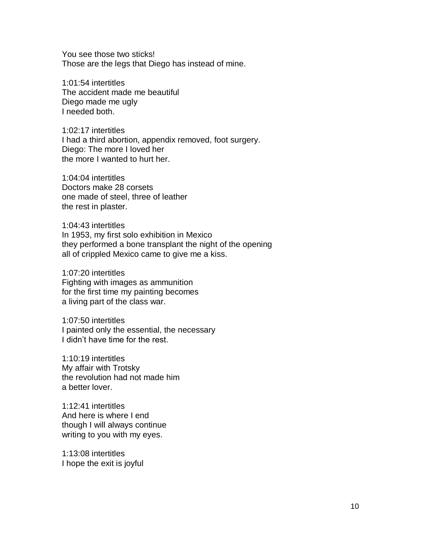You see those two sticks! Those are the legs that Diego has instead of mine.

1:01:54 intertitles The accident made me beautiful Diego made me ugly I needed both.

1:02:17 intertitles I had a third abortion, appendix removed, foot surgery. Diego: The more I loved her the more I wanted to hurt her.

1:04:04 intertitles Doctors make 28 corsets one made of steel, three of leather the rest in plaster.

1:04:43 intertitles In 1953, my first solo exhibition in Mexico they performed a bone transplant the night of the opening all of crippled Mexico came to give me a kiss.

1:07:20 intertitles Fighting with images as ammunition for the first time my painting becomes a living part of the class war.

1:07:50 intertitles I painted only the essential, the necessary I didn't have time for the rest.

1:10:19 intertitles My affair with Trotsky the revolution had not made him a better lover.

1:12:41 intertitles And here is where I end though I will always continue writing to you with my eyes.

1:13:08 intertitles I hope the exit is joyful